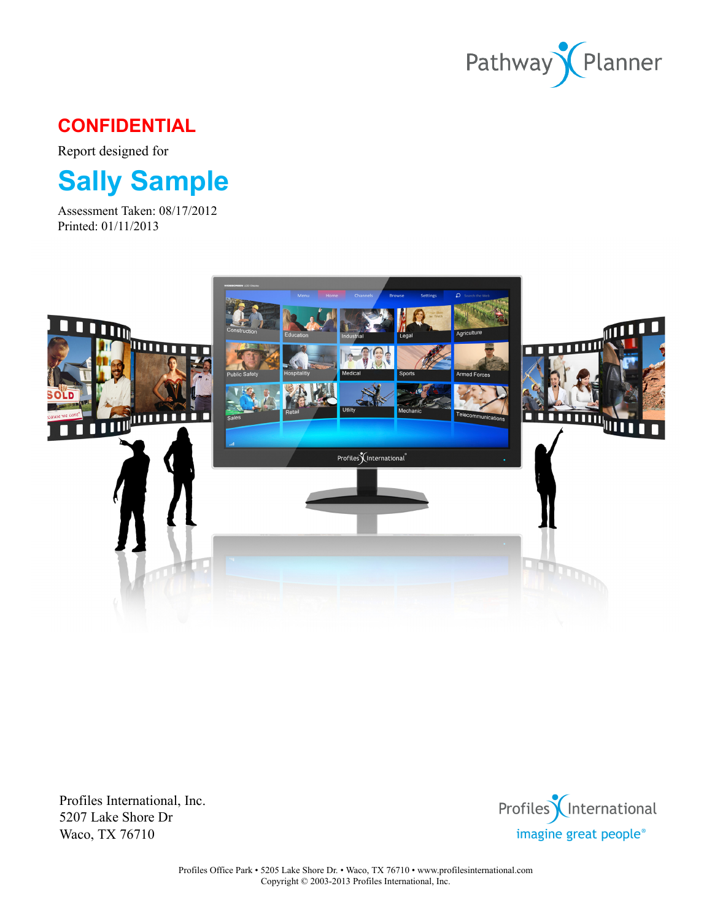

# **CONFIDENTIAL**

Report designed for

# **Sally Sample**

Assessment Taken: 08/17/2012 Printed: 01/11/2013



Profiles International, Inc. 5207 Lake Shore Dr Waco, TX 76710

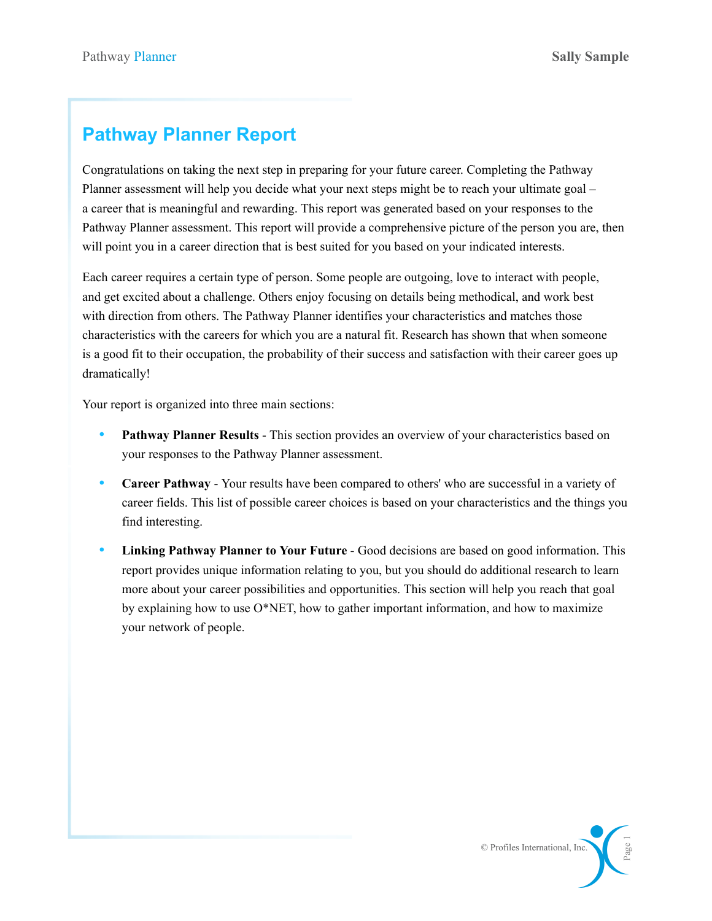# **Pathway Planner Report**

Congratulations on taking the next step in preparing for your future career. Completing the Pathway Planner assessment will help you decide what your next steps might be to reach your ultimate goal – a career that is meaningful and rewarding. This report was generated based on your responses to the Pathway Planner assessment. This report will provide a comprehensive picture of the person you are, then will point you in a career direction that is best suited for you based on your indicated interests.

Each career requires a certain type of person. Some people are outgoing, love to interact with people, and get excited about a challenge. Others enjoy focusing on details being methodical, and work best with direction from others. The Pathway Planner identifies your characteristics and matches those characteristics with the careers for which you are a natural fit. Research has shown that when someone is a good fit to their occupation, the probability of their success and satisfaction with their career goes up dramatically!

Your report is organized into three main sections:

- **Pathway Planner Results** This section provides an overview of your characteristics based on your responses to the Pathway Planner assessment.
- **Career Pathway** Your results have been compared to others' who are successful in a variety of career fields. This list of possible career choices is based on your characteristics and the things you find interesting.
- **Linking Pathway Planner to Your Future** Good decisions are based on good information. This report provides unique information relating to you, but you should do additional research to learn more about your career possibilities and opportunities. This section will help you reach that goal by explaining how to use O\*NET, how to gather important information, and how to maximize your network of people.

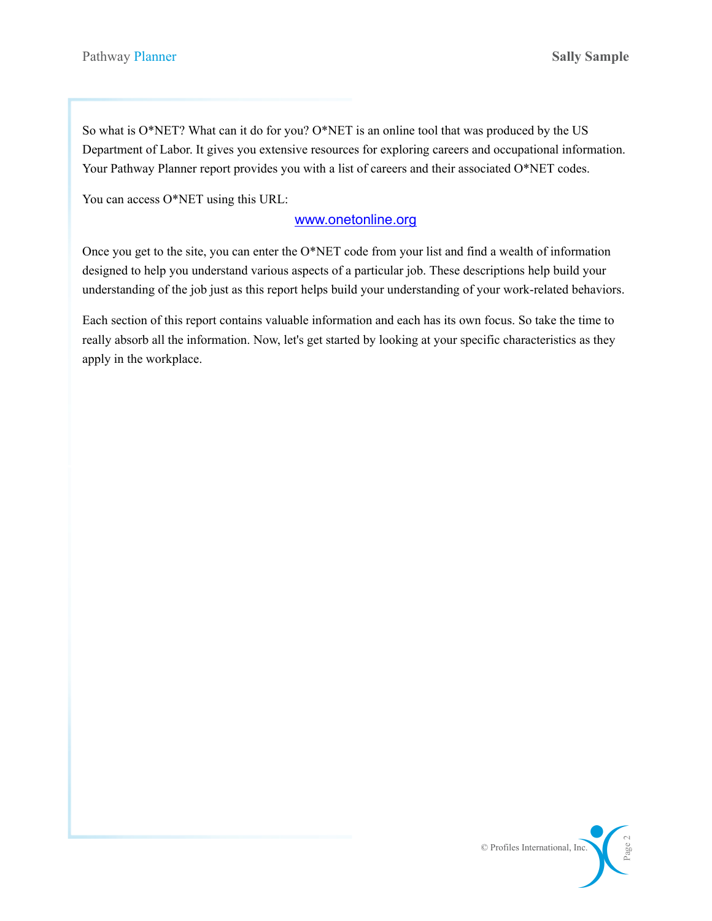So what is O\*NET? What can it do for you? O\*NET is an online tool that was produced by the US Department of Labor. It gives you extensive resources for exploring careers and occupational information. Your Pathway Planner report provides you with a list of careers and their associated O\*NET codes.

You can access O\*NET using this URL:

#### [www.onetonline.org](http://www.onetonline.org)

Once you get to the site, you can enter the O\*NET code from your list and find a wealth of information designed to help you understand various aspects of a particular job. These descriptions help build your understanding of the job just as this report helps build your understanding of your work-related behaviors.

Each section of this report contains valuable information and each has its own focus. So take the time to really absorb all the information. Now, let's get started by looking at your specific characteristics as they apply in the workplace.

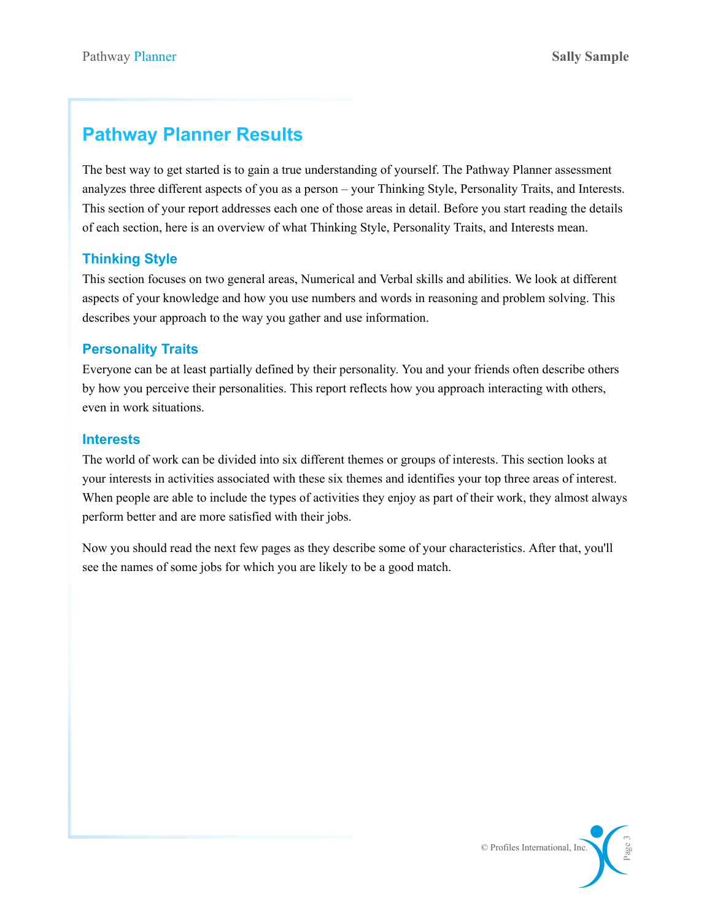# **Pathway Planner Results**

The best way to get started is to gain a true understanding of yourself. The Pathway Planner assessment analyzes three different aspects of you as a person – your Thinking Style, Personality Traits, and Interests. This section of your report addresses each one of those areas in detail. Before you start reading the details of each section, here is an overview of what Thinking Style, Personality Traits, and Interests mean.

## **Thinking Style**

This section focuses on two general areas, Numerical and Verbal skills and abilities. We look at different aspects of your knowledge and how you use numbers and words in reasoning and problem solving. This describes your approach to the way you gather and use information.

### **Personality Traits**

Everyone can be at least partially defined by their personality. You and your friends often describe others by how you perceive their personalities. This report reflects how you approach interacting with others, even in work situations.

#### **Interests**

The world of work can be divided into six different themes or groups of interests. This section looks at your interests in activities associated with these six themes and identifies your top three areas of interest. When people are able to include the types of activities they enjoy as part of their work, they almost always perform better and are more satisfied with their jobs.

Now you should read the next few pages as they describe some of your characteristics. After that, you'll see the names of some jobs for which you are likely to be a good match.

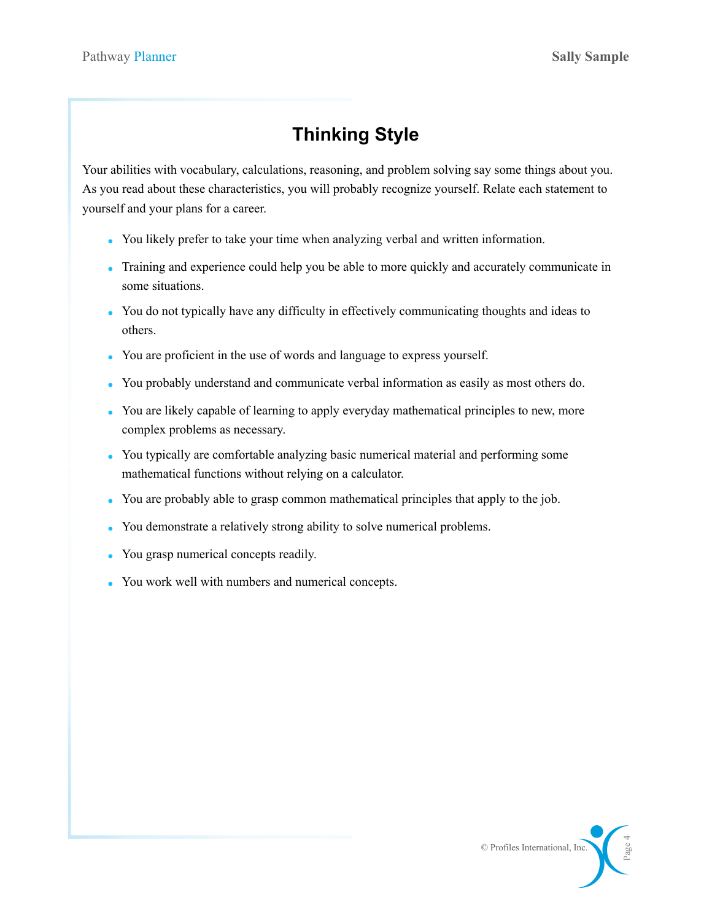# **Thinking Style**

Your abilities with vocabulary, calculations, reasoning, and problem solving say some things about you. As you read about these characteristics, you will probably recognize yourself. Relate each statement to yourself and your plans for a career.

- You likely prefer to take your time when analyzing verbal and written information.
- Training and experience could help you be able to more quickly and accurately communicate in some situations.
- You do not typically have any difficulty in effectively communicating thoughts and ideas to others.
- You are proficient in the use of words and language to express yourself.
- You probably understand and communicate verbal information as easily as most others do.
- You are likely capable of learning to apply everyday mathematical principles to new, more complex problems as necessary.
- You typically are comfortable analyzing basic numerical material and performing some mathematical functions without relying on a calculator.
- You are probably able to grasp common mathematical principles that apply to the job.
- You demonstrate a relatively strong ability to solve numerical problems.
- You grasp numerical concepts readily.
- You work well with numbers and numerical concepts.

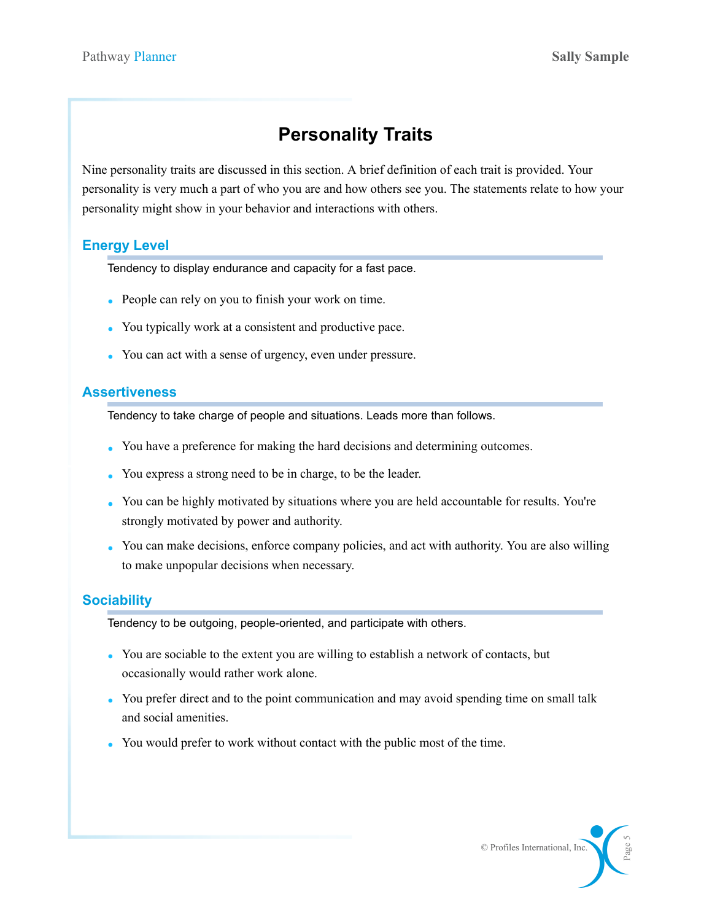# **Personality Traits**

Nine personality traits are discussed in this section. A brief definition of each trait is provided. Your personality is very much a part of who you are and how others see you. The statements relate to how your personality might show in your behavior and interactions with others.

### **Energy Level**

Tendency to display endurance and capacity for a fast pace.

- People can rely on you to finish your work on time.
- You typically work at a consistent and productive pace.
- You can act with a sense of urgency, even under pressure.

#### **Assertiveness**

Tendency to take charge of people and situations. Leads more than follows.

- You have a preference for making the hard decisions and determining outcomes.
- You express a strong need to be in charge, to be the leader.
- You can be highly motivated by situations where you are held accountable for results. You're strongly motivated by power and authority.
- You can make decisions, enforce company policies, and act with authority. You are also willing to make unpopular decisions when necessary.

### **Sociability**

Tendency to be outgoing, people-oriented, and participate with others.

- You are sociable to the extent you are willing to establish a network of contacts, but occasionally would rather work alone.
- You prefer direct and to the point communication and may avoid spending time on small talk and social amenities.
- You would prefer to work without contact with the public most of the time.

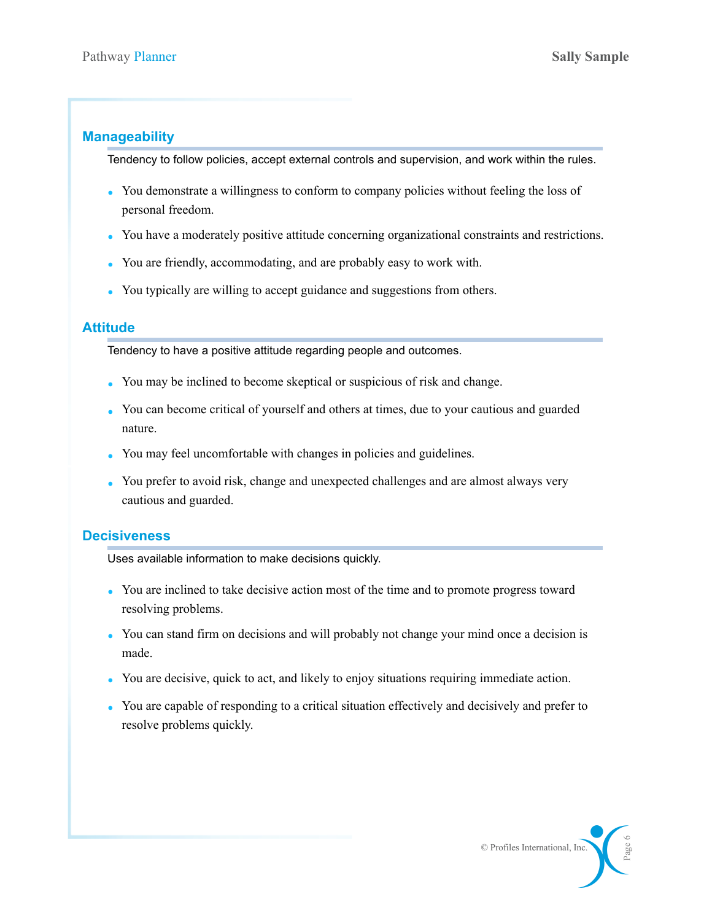### **Manageability**

Tendency to follow policies, accept external controls and supervision, and work within the rules.

- You demonstrate a willingness to conform to company policies without feeling the loss of personal freedom.
- You have a moderately positive attitude concerning organizational constraints and restrictions.
- You are friendly, accommodating, and are probably easy to work with.
- You typically are willing to accept guidance and suggestions from others.

### **Attitude**

Tendency to have a positive attitude regarding people and outcomes.

- You may be inclined to become skeptical or suspicious of risk and change.
- You can become critical of yourself and others at times, due to your cautious and guarded nature.
- You may feel uncomfortable with changes in policies and guidelines.
- You prefer to avoid risk, change and unexpected challenges and are almost always very cautious and guarded.

### **Decisiveness**

Uses available information to make decisions quickly.

- You are inclined to take decisive action most of the time and to promote progress toward resolving problems.
- You can stand firm on decisions and will probably not change your mind once a decision is made.
- You are decisive, quick to act, and likely to enjoy situations requiring immediate action.
- You are capable of responding to a critical situation effectively and decisively and prefer to resolve problems quickly.

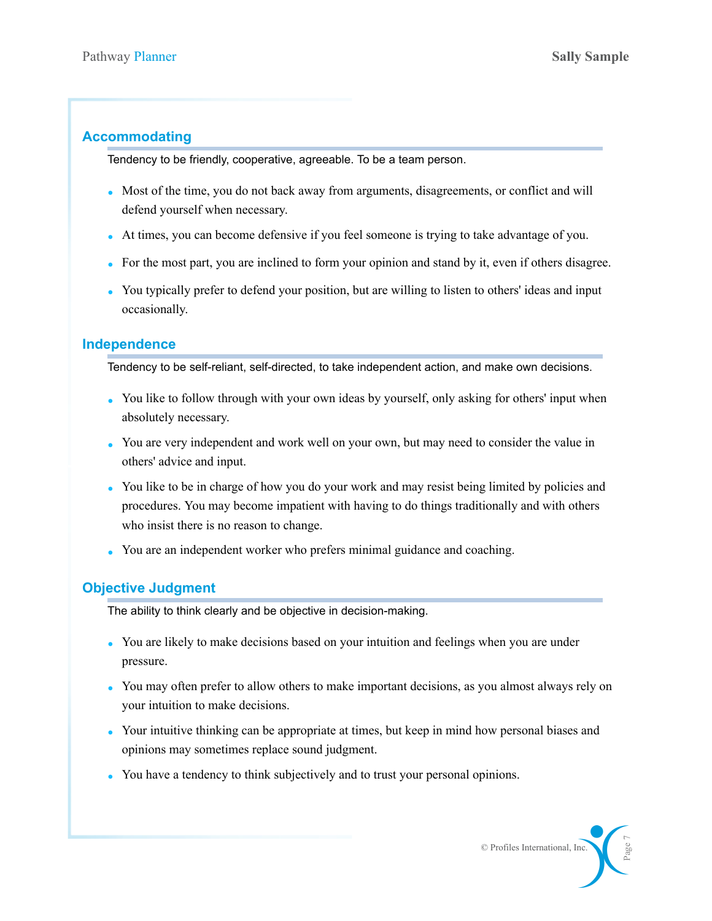### **Accommodating**

Tendency to be friendly, cooperative, agreeable. To be a team person.

- Most of the time, you do not back away from arguments, disagreements, or conflict and will defend yourself when necessary.
- At times, you can become defensive if you feel someone is trying to take advantage of you.
- For the most part, you are inclined to form your opinion and stand by it, even if others disagree.
- You typically prefer to defend your position, but are willing to listen to others' ideas and input occasionally.

### **Independence**

Tendency to be self-reliant, self-directed, to take independent action, and make own decisions.

- You like to follow through with your own ideas by yourself, only asking for others' input when absolutely necessary.
- You are very independent and work well on your own, but may need to consider the value in others' advice and input.
- You like to be in charge of how you do your work and may resist being limited by policies and procedures. You may become impatient with having to do things traditionally and with others who insist there is no reason to change.
- You are an independent worker who prefers minimal guidance and coaching.

## **Objective Judgment**

The ability to think clearly and be objective in decision-making.

- You are likely to make decisions based on your intuition and feelings when you are under pressure.
- You may often prefer to allow others to make important decisions, as you almost always rely on your intuition to make decisions.
- Your intuitive thinking can be appropriate at times, but keep in mind how personal biases and opinions may sometimes replace sound judgment.
- You have a tendency to think subjectively and to trust your personal opinions.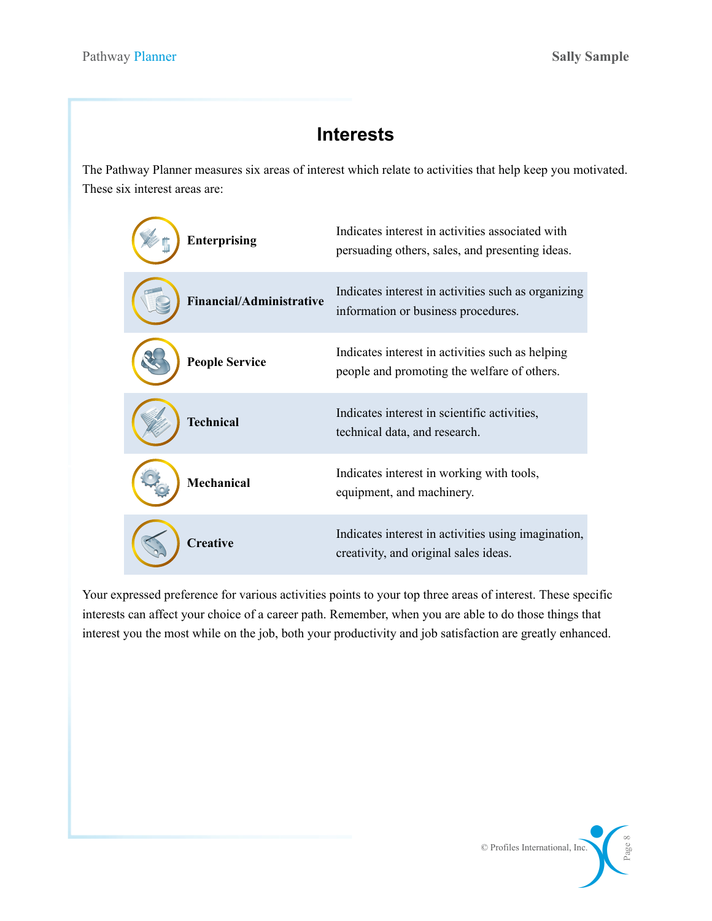# **Interests**

The Pathway Planner measures six areas of interest which relate to activities that help keep you motivated. These six interest areas are:



Your expressed preference for various activities points to your top three areas of interest. These specific interests can affect your choice of a career path. Remember, when you are able to do those things that interest you the most while on the job, both your productivity and job satisfaction are greatly enhanced.

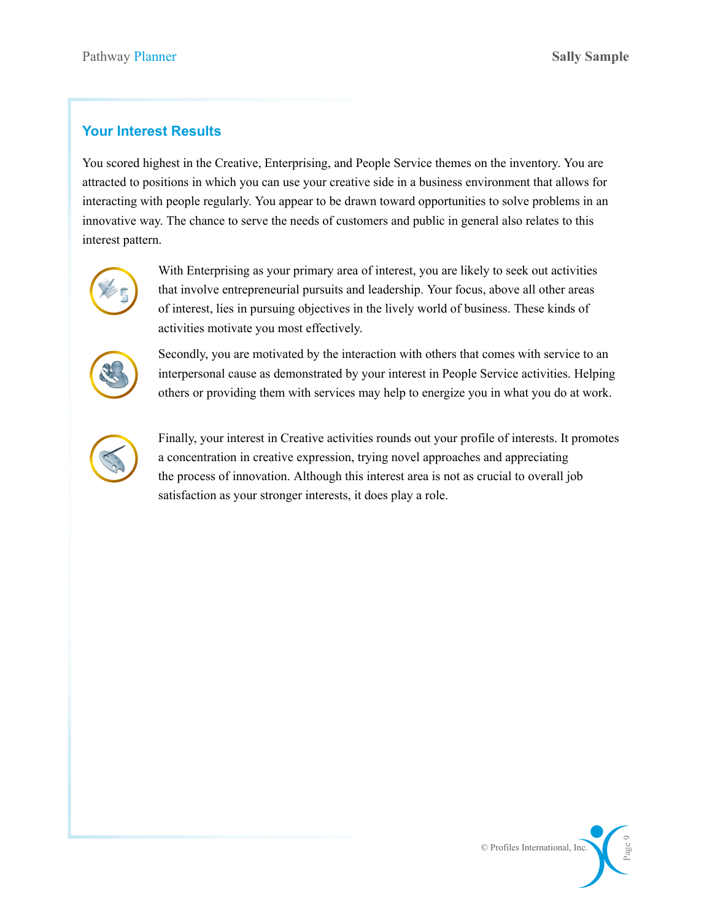### **Your Interest Results**

You scored highest in the Creative, Enterprising, and People Service themes on the inventory. You are attracted to positions in which you can use your creative side in a business environment that allows for interacting with people regularly. You appear to be drawn toward opportunities to solve problems in an innovative way. The chance to serve the needs of customers and public in general also relates to this interest pattern.



With Enterprising as your primary area of interest, you are likely to seek out activities that involve entrepreneurial pursuits and leadership. Your focus, above all other areas of interest, lies in pursuing objectives in the lively world of business. These kinds of activities motivate you most effectively.



Secondly, you are motivated by the interaction with others that comes with service to an interpersonal cause as demonstrated by your interest in People Service activities. Helping others or providing them with services may help to energize you in what you do at work.



Finally, your interest in Creative activities rounds out your profile of interests. It promotes a concentration in creative expression, trying novel approaches and appreciating the process of innovation. Although this interest area is not as crucial to overall job satisfaction as your stronger interests, it does play a role.

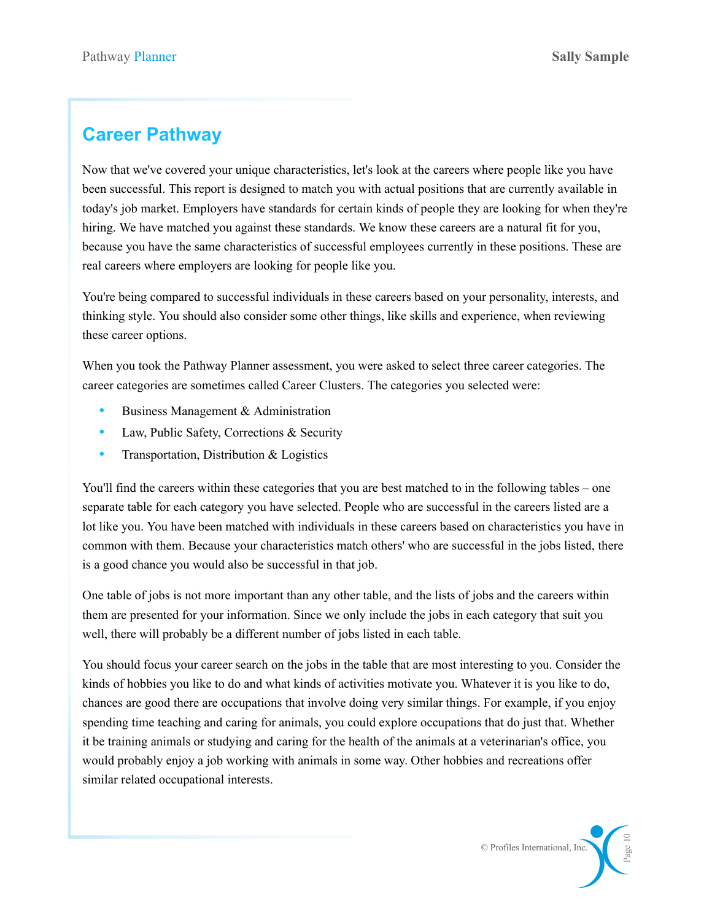# **Career Pathway**

Now that we've covered your unique characteristics, let's look at the careers where people like you have been successful. This report is designed to match you with actual positions that are currently available in today's job market. Employers have standards for certain kinds of people they are looking for when they're hiring. We have matched you against these standards. We know these careers are a natural fit for you, because you have the same characteristics of successful employees currently in these positions. These are real careers where employers are looking for people like you.

You're being compared to successful individuals in these careers based on your personality, interests, and thinking style. You should also consider some other things, like skills and experience, when reviewing these career options.

When you took the Pathway Planner assessment, you were asked to select three career categories. The career categories are sometimes called Career Clusters. The categories you selected were:

- Business Management & Administration
- Law, Public Safety, Corrections & Security
- Transportation, Distribution & Logistics

You'll find the careers within these categories that you are best matched to in the following tables – one separate table for each category you have selected. People who are successful in the careers listed are a lot like you. You have been matched with individuals in these careers based on characteristics you have in common with them. Because your characteristics match others' who are successful in the jobs listed, there is a good chance you would also be successful in that job.

One table of jobs is not more important than any other table, and the lists of jobs and the careers within them are presented for your information. Since we only include the jobs in each category that suit you well, there will probably be a different number of jobs listed in each table.

You should focus your career search on the jobs in the table that are most interesting to you. Consider the kinds of hobbies you like to do and what kinds of activities motivate you. Whatever it is you like to do, chances are good there are occupations that involve doing very similar things. For example, if you enjoy spending time teaching and caring for animals, you could explore occupations that do just that. Whether it be training animals or studying and caring for the health of the animals at a veterinarian's office, you would probably enjoy a job working with animals in some way. Other hobbies and recreations offer similar related occupational interests.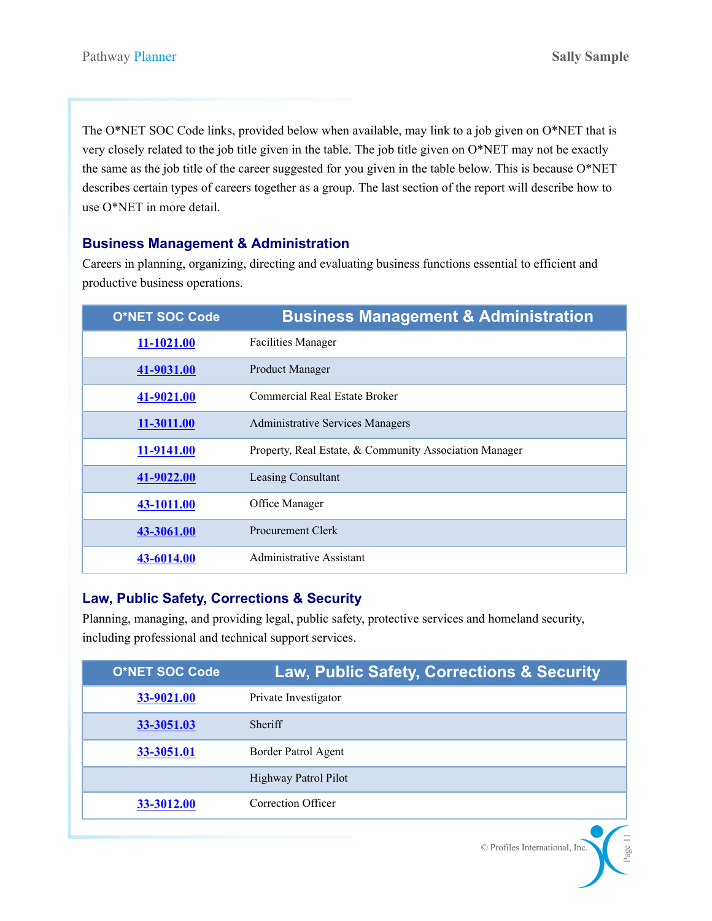The O\*NET SOC Code links, provided below when available, may link to a job given on O\*NET that is very closely related to the job title given in the table. The job title given on O\*NET may not be exactly the same as the job title of the career suggested for you given in the table below. This is because O\*NET describes certain types of careers together as a group. The last section of the report will describe how to use O\*NET in more detail.

### **Business Management & Administration**

Careers in planning, organizing, directing and evaluating business functions essential to efficient and productive business operations.

| <b>O*NET SOC Code</b> | <b>Business Management &amp; Administration</b>        |
|-----------------------|--------------------------------------------------------|
| 11-1021.00            | <b>Facilities Manager</b>                              |
| 41-9031.00            | Product Manager                                        |
| 41-9021.00            | Commercial Real Estate Broker                          |
| 11-3011.00            | <b>Administrative Services Managers</b>                |
| 11-9141.00            | Property, Real Estate, & Community Association Manager |
| 41-9022.00            | Leasing Consultant                                     |
| 43-1011.00            | Office Manager                                         |
| 43-3061.00            | <b>Procurement Clerk</b>                               |
| 43-6014.00            | Administrative Assistant                               |

### **Law, Public Safety, Corrections & Security**

Planning, managing, and providing legal, public safety, protective services and homeland security, including professional and technical support services.

| <b>O*NET SOC Code</b> | <b>Law, Public Safety, Corrections &amp; Security</b> |
|-----------------------|-------------------------------------------------------|
| 33-9021.00            | Private Investigator                                  |
| 33-3051.03            | <b>Sheriff</b>                                        |
| 33-3051.01            | Border Patrol Agent                                   |
|                       | Highway Patrol Pilot                                  |
| 33-3012.00            | Correction Officer                                    |

© Profiles International, Inc.

Page 11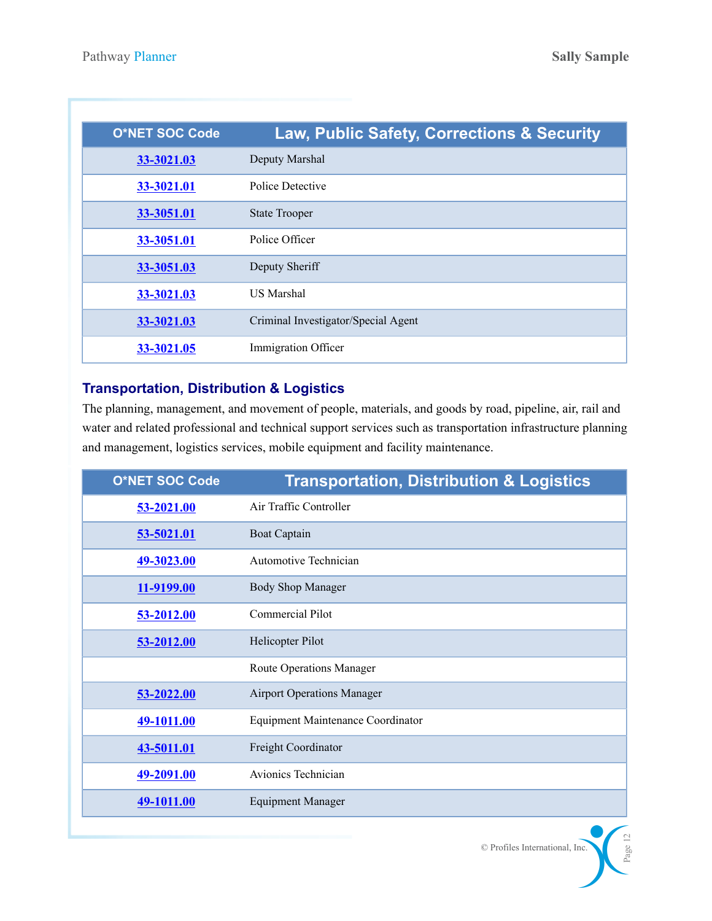| <b>O*NET SOC Code</b> | Law, Public Safety, Corrections & Security |
|-----------------------|--------------------------------------------|
| 33-3021.03            | Deputy Marshal                             |
| 33-3021.01            | Police Detective                           |
| 33-3051.01            | <b>State Trooper</b>                       |
| 33-3051.01            | Police Officer                             |
| 33-3051.03            | Deputy Sheriff                             |
| 33-3021.03            | <b>US Marshal</b>                          |
| 33-3021.03            | Criminal Investigator/Special Agent        |
| 33-3021.05            | Immigration Officer                        |

# **Transportation, Distribution & Logistics**

The planning, management, and movement of people, materials, and goods by road, pipeline, air, rail and water and related professional and technical support services such as transportation infrastructure planning and management, logistics services, mobile equipment and facility maintenance.

| <b>O*NET SOC Code</b> | <b>Transportation, Distribution &amp; Logistics</b> |
|-----------------------|-----------------------------------------------------|
| 53-2021.00            | Air Traffic Controller                              |
| 53-5021.01            | <b>Boat Captain</b>                                 |
| 49-3023.00            | <b>Automotive Technician</b>                        |
| 11-9199.00            | <b>Body Shop Manager</b>                            |
| 53-2012.00            | Commercial Pilot                                    |
| 53-2012.00            | Helicopter Pilot                                    |
|                       | <b>Route Operations Manager</b>                     |
| 53-2022.00            | <b>Airport Operations Manager</b>                   |
| 49-1011.00            | <b>Equipment Maintenance Coordinator</b>            |
| 43-5011.01            | Freight Coordinator                                 |
| 49-2091.00            | Avionics Technician                                 |
| 49-1011.00            | <b>Equipment Manager</b>                            |

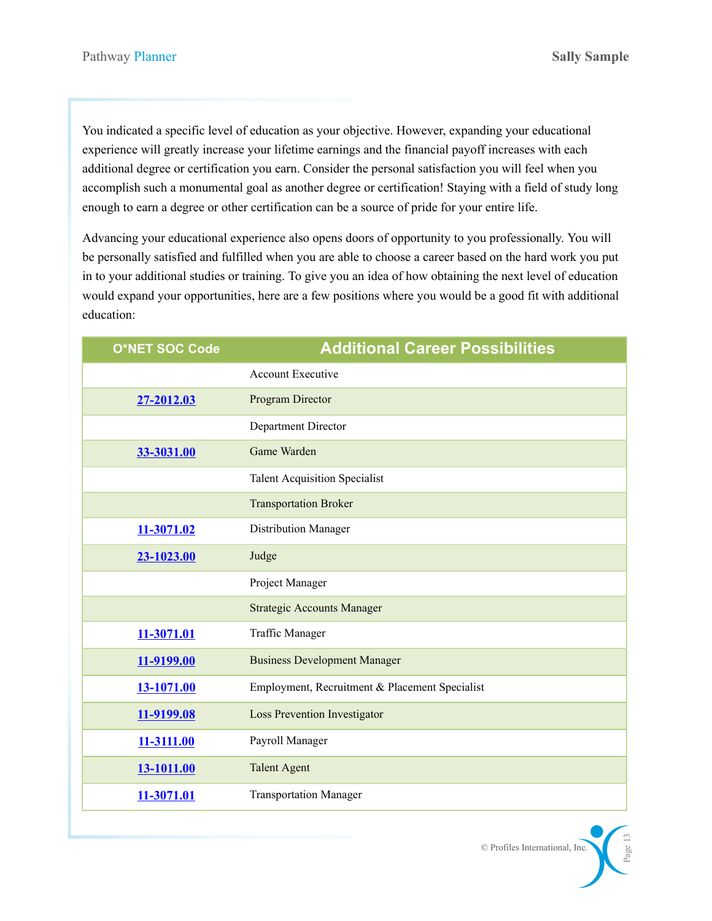© Profiles International, Inc.

Page 13

You indicated a specific level of education as your objective. However, expanding your educational experience will greatly increase your lifetime earnings and the financial payoff increases with each additional degree or certification you earn. Consider the personal satisfaction you will feel when you accomplish such a monumental goal as another degree or certification! Staying with a field of study long enough to earn a degree or other certification can be a source of pride for your entire life.

Advancing your educational experience also opens doors of opportunity to you professionally. You will be personally satisfied and fulfilled when you are able to choose a career based on the hard work you put in to your additional studies or training. To give you an idea of how obtaining the next level of education would expand your opportunities, here are a few positions where you would be a good fit with additional education:

| <b>O*NET SOC Code</b> | <b>Additional Career Possibilities</b>         |
|-----------------------|------------------------------------------------|
|                       | <b>Account Executive</b>                       |
| 27-2012.03            | Program Director                               |
|                       | Department Director                            |
| 33-3031.00            | Game Warden                                    |
|                       | <b>Talent Acquisition Specialist</b>           |
|                       | <b>Transportation Broker</b>                   |
| 11-3071.02            | Distribution Manager                           |
| 23-1023.00            | Judge                                          |
|                       | Project Manager                                |
|                       | <b>Strategic Accounts Manager</b>              |
| 11-3071.01            | Traffic Manager                                |
| 11-9199.00            | <b>Business Development Manager</b>            |
| 13-1071.00            | Employment, Recruitment & Placement Specialist |
| 11-9199.08            | <b>Loss Prevention Investigator</b>            |
| 11-3111.00            | Payroll Manager                                |
| 13-1011.00            | <b>Talent Agent</b>                            |
| 11-3071.01            | <b>Transportation Manager</b>                  |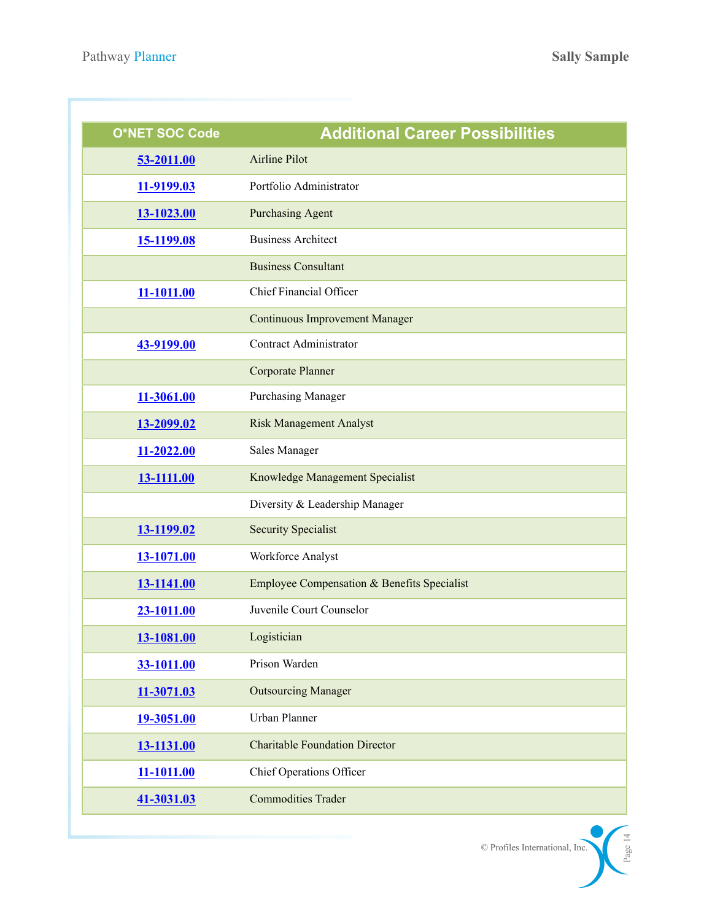| <b>O*NET SOC Code</b> | <b>Additional Career Possibilities</b>      |
|-----------------------|---------------------------------------------|
| 53-2011.00            | <b>Airline Pilot</b>                        |
| 11-9199.03            | Portfolio Administrator                     |
| 13-1023.00            | <b>Purchasing Agent</b>                     |
| 15-1199.08            | <b>Business Architect</b>                   |
|                       | <b>Business Consultant</b>                  |
| 11-1011.00            | Chief Financial Officer                     |
|                       | <b>Continuous Improvement Manager</b>       |
| 43-9199.00            | Contract Administrator                      |
|                       | <b>Corporate Planner</b>                    |
| 11-3061.00            | <b>Purchasing Manager</b>                   |
| 13-2099.02            | <b>Risk Management Analyst</b>              |
| 11-2022.00            | Sales Manager                               |
| 13-1111.00            | Knowledge Management Specialist             |
|                       | Diversity & Leadership Manager              |
| 13-1199.02            | <b>Security Specialist</b>                  |
| 13-1071.00            | Workforce Analyst                           |
| 13-1141.00            | Employee Compensation & Benefits Specialist |
| 23-1011.00            | Juvenile Court Counselor                    |
| 13-1081.00            | Logistician                                 |
| 33-1011.00            | Prison Warden                               |
| 11-3071.03            | <b>Outsourcing Manager</b>                  |
| 19-3051.00            | Urban Planner                               |
| 13-1131.00            | <b>Charitable Foundation Director</b>       |
| 11-1011.00            | Chief Operations Officer                    |
| 41-3031.03            | <b>Commodities Trader</b>                   |

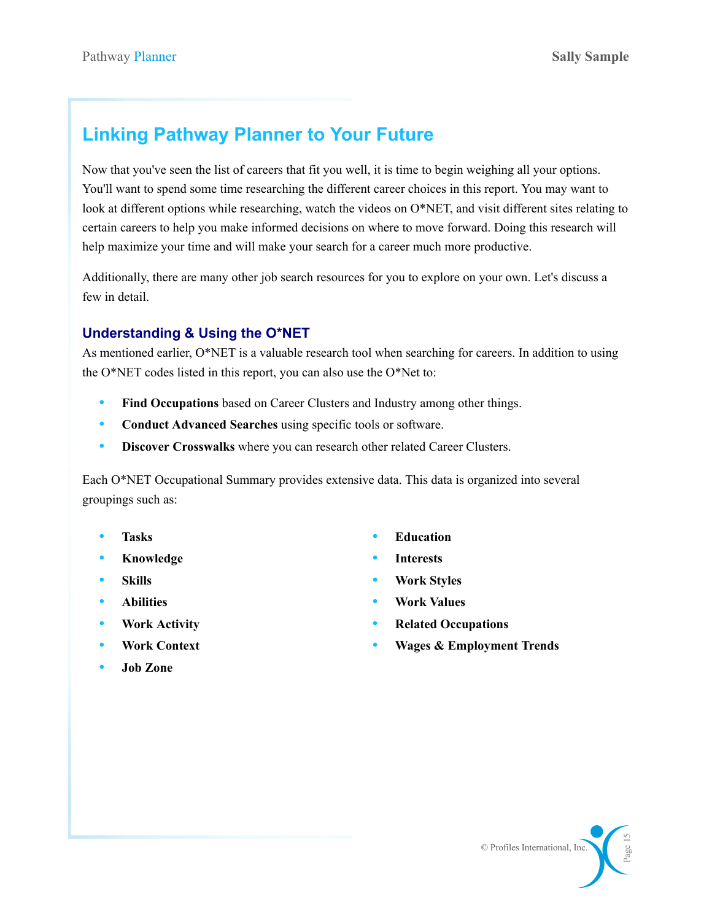# **Linking Pathway Planner to Your Future**

Now that you've seen the list of careers that fit you well, it is time to begin weighing all your options. You'll want to spend some time researching the different career choices in this report. You may want to look at different options while researching, watch the videos on O\*NET, and visit different sites relating to certain careers to help you make informed decisions on where to move forward. Doing this research will help maximize your time and will make your search for a career much more productive.

Additionally, there are many other job search resources for you to explore on your own. Let's discuss a few in detail.

## **Understanding & Using the O\*NET**

As mentioned earlier, O\*NET is a valuable research tool when searching for careers. In addition to using the O\*NET codes listed in this report, you can also use the O\*Net to:

- **Find Occupations** based on Career Clusters and Industry among other things.
- **Conduct Advanced Searches** using specific tools or software.
- **Discover Crosswalks** where you can research other related Career Clusters.

Each O\*NET Occupational Summary provides extensive data. This data is organized into several groupings such as:

- **Tasks**
- **Knowledge**
- **Skills**
- **Abilities**
- **Work Activity**
- **Work Context**
- **Job Zone**
- **Education**
- **Interests**
- **Work Styles**
- **Work Values**
- **Related Occupations**
- **Wages & Employment Trends**

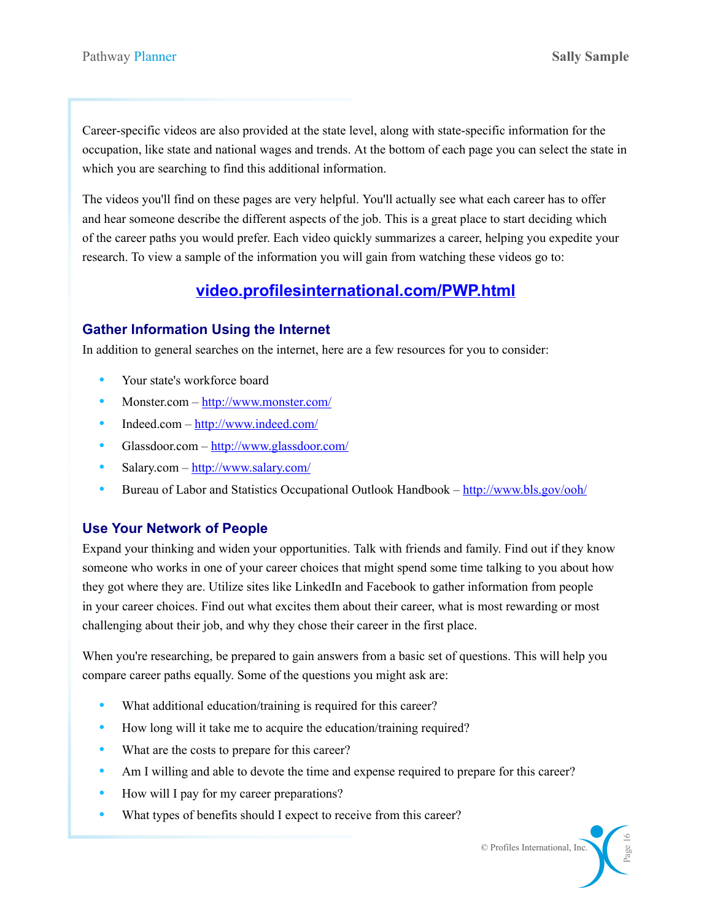Career-specific videos are also provided at the state level, along with state-specific information for the occupation, like state and national wages and trends. At the bottom of each page you can select the state in which you are searching to find this additional information.

The videos you'll find on these pages are very helpful. You'll actually see what each career has to offer and hear someone describe the different aspects of the job. This is a great place to start deciding which of the career paths you would prefer. Each video quickly summarizes a career, helping you expedite your research. To view a sample of the information you will gain from watching these videos go to:

# **[video.profilesinternational.com/PWP.html](http://video.profilesinternational.com/PWP.html)**

### **Gather Information Using the Internet**

In addition to general searches on the internet, here are a few resources for you to consider:

- Your state's workforce board
- Monster.com <http://www.monster.com/>
- Indeed.com –<http://www.indeed.com/>
- Glassdoor.com <http://www.glassdoor.com/>
- Salary.com <http://www.salary.com/>
- Bureau of Labor and Statistics Occupational Outlook Handbook –<http://www.bls.gov/ooh/>

### **Use Your Network of People**

Expand your thinking and widen your opportunities. Talk with friends and family. Find out if they know someone who works in one of your career choices that might spend some time talking to you about how they got where they are. Utilize sites like LinkedIn and Facebook to gather information from people in your career choices. Find out what excites them about their career, what is most rewarding or most challenging about their job, and why they chose their career in the first place.

When you're researching, be prepared to gain answers from a basic set of questions. This will help you compare career paths equally. Some of the questions you might ask are:

- What additional education/training is required for this career?
- How long will it take me to acquire the education/training required?
- What are the costs to prepare for this career?
- Am I willing and able to devote the time and expense required to prepare for this career?
- How will I pay for my career preparations?
- What types of benefits should I expect to receive from this career?